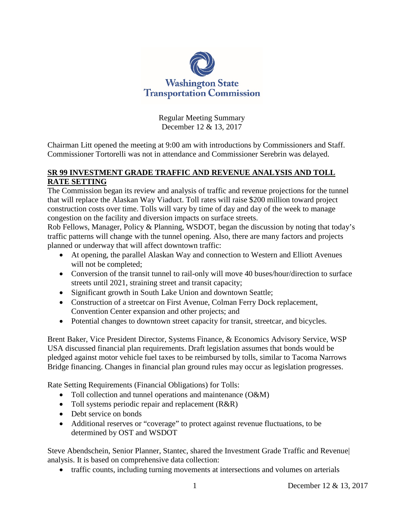

Regular Meeting Summary December 12 & 13, 2017

Chairman Litt opened the meeting at 9:00 am with introductions by Commissioners and Staff. Commissioner Tortorelli was not in attendance and Commissioner Serebrin was delayed.

## **SR 99 INVESTMENT GRADE TRAFFIC AND REVENUE ANALYSIS AND TOLL RATE SETTING**

The Commission began its review and analysis of traffic and revenue projections for the tunnel that will replace the Alaskan Way Viaduct. Toll rates will raise \$200 million toward project construction costs over time. Tolls will vary by time of day and day of the week to manage congestion on the facility and diversion impacts on surface streets.

Rob Fellows, Manager, Policy & Planning, WSDOT, began the discussion by noting that today's traffic patterns will change with the tunnel opening. Also, there are many factors and projects planned or underway that will affect downtown traffic:

- At opening, the parallel Alaskan Way and connection to Western and Elliott Avenues will not be completed;
- Conversion of the transit tunnel to rail-only will move 40 buses/hour/direction to surface streets until 2021, straining street and transit capacity;
- Significant growth in South Lake Union and downtown Seattle;
- Construction of a streetcar on First Avenue, Colman Ferry Dock replacement, Convention Center expansion and other projects; and
- Potential changes to downtown street capacity for transit, streetcar, and bicycles.

Brent Baker, Vice President Director, Systems Finance, & Economics Advisory Service, WSP USA discussed financial plan requirements. Draft legislation assumes that bonds would be pledged against motor vehicle fuel taxes to be reimbursed by tolls, similar to Tacoma Narrows Bridge financing. Changes in financial plan ground rules may occur as legislation progresses.

Rate Setting Requirements (Financial Obligations) for Tolls:

- Toll collection and tunnel operations and maintenance (O&M)
- Toll systems periodic repair and replacement (R&R)
- Debt service on bonds
- Additional reserves or "coverage" to protect against revenue fluctuations, to be determined by OST and WSDOT

Steve Abendschein, Senior Planner, Stantec, shared the Investment Grade Traffic and Revenue| analysis. It is based on comprehensive data collection:

• traffic counts, including turning movements at intersections and volumes on arterials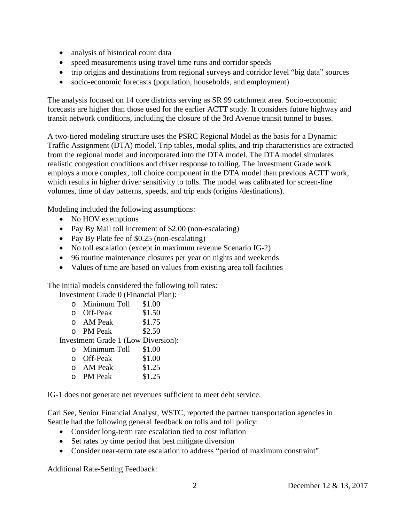- analysis of historical count data
- speed measurements using travel time runs and corridor speeds
- trip origins and destinations from regional surveys and corridor level "big data" sources
- socio-economic forecasts (population, households, and employment)

The analysis focused on 14 core districts serving as SR 99 catchment area. Socio-economic forecasts are higher than those used for the earlier ACTT study. It considers future highway and transit network conditions, including the closure of the 3rd Avenue transit tunnel to buses.

A two-tiered modeling structure uses the PSRC Regional Model as the basis for a Dynamic Traffic Assignment (DTA) model. Trip tables, modal splits, and trip characteristics are extracted from the regional model and incorporated into the DTA model. The DTA model simulates realistic congestion conditions and driver response to tolling. The Investment Grade work employs a more complex, toll choice component in the DTA model than previous ACTT work, which results in higher driver sensitivity to tolls. The model was calibrated for screen-line volumes, time of day patterns, speeds, and trip ends (origins /destinations).

Modeling included the following assumptions:

- No HOV exemptions
- Pay By Mail toll increment of \$2.00 (non-escalating)
- Pay By Plate fee of \$0.25 (non-escalating)
- No toll escalation (except in maximum revenue Scenario IG-2)
- 96 routine maintenance closures per year on nights and weekends
- Values of time are based on values from existing area toll facilities

The initial models considered the following toll rates:

Investment Grade 0 (Financial Plan):

- o Minimum Toll \$1.00
- 
- o Off-Peak \$1.50<br>
o AM Peak \$1.75 o AM Peak \$1.75<br>
o PM Peak \$2.50
- $O$  PM Peak

Investment Grade 1 (Low Diversion):

- 
- o Minimum Toll \$1.00
- o Off-Peak \$1.00<br>
o AM Peak \$1.25
- o AM Peak \$1.25<br>
o PM Peak \$1.25  $\circ$  PM Peak

IG-1 does not generate net revenues sufficient to meet debt service.

Carl See, Senior Financial Analyst, WSTC, reported the partner transportation agencies in Seattle had the following general feedback on tolls and toll policy:

- Consider long-term rate escalation tied to cost inflation
- Set rates by time period that best mitigate diversion
- Consider near-term rate escalation to address "period of maximum constraint"

Additional Rate-Setting Feedback: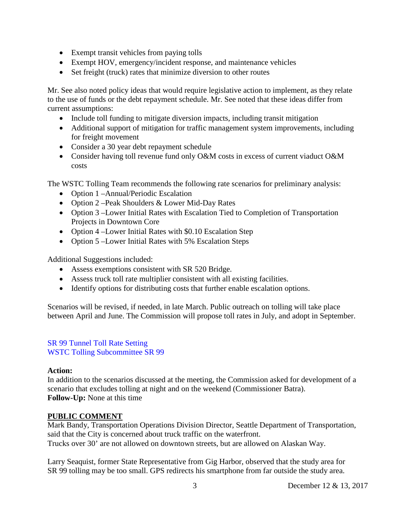- Exempt transit vehicles from paying tolls
- Exempt HOV, emergency/incident response, and maintenance vehicles
- Set freight (truck) rates that minimize diversion to other routes

Mr. See also noted policy ideas that would require legislative action to implement, as they relate to the use of funds or the debt repayment schedule. Mr. See noted that these ideas differ from current assumptions:

- Include toll funding to mitigate diversion impacts, including transit mitigation
- Additional support of mitigation for traffic management system improvements, including for freight movement
- Consider a 30 year debt repayment schedule
- Consider having toll revenue fund only O&M costs in excess of current viaduct O&M costs

The WSTC Tolling Team recommends the following rate scenarios for preliminary analysis:

- Option 1 –Annual/Periodic Escalation
- Option 2 Peak Shoulders & Lower Mid-Day Rates
- Option 3 –Lower Initial Rates with Escalation Tied to Completion of Transportation Projects in Downtown Core
- Option 4 –Lower Initial Rates with \$0.10 Escalation Step
- Option 5 –Lower Initial Rates with 5% Escalation Steps

Additional Suggestions included:

- Assess exemptions consistent with SR 520 Bridge.
- Assess truck toll rate multiplier consistent with all existing facilities.
- Identify options for distributing costs that further enable escalation options.

Scenarios will be revised, if needed, in late March. Public outreach on tolling will take place between April and June. The Commission will propose toll rates in July, and adopt in September.

#### [SR 99 Tunnel Toll Rate Setting](http://www.wstc.wa.gov/Meetings/AgendasMinutes/agendas/2017/December12/Documents/1212-BP02-SR99TollRateSetting-v2.pdf) [WSTC Tolling Subcommittee SR 99](http://www.wstc.wa.gov/Meetings/AgendasMinutes/agendas/2017/December12/Documents/1212-BP-2-WSTCTollingSubcommitteeSR99Analysis.pdf)

## **Action:**

In addition to the scenarios discussed at the meeting, the Commission asked for development of a scenario that excludes tolling at night and on the weekend (Commissioner Batra). **Follow-Up:** None at this time

## **PUBLIC COMMENT**

Mark Bandy, Transportation Operations Division Director, Seattle Department of Transportation, said that the City is concerned about truck traffic on the waterfront. Trucks over 30' are not allowed on downtown streets, but are allowed on Alaskan Way.

Larry Seaquist, former State Representative from Gig Harbor, observed that the study area for SR 99 tolling may be too small. GPS redirects his smartphone from far outside the study area.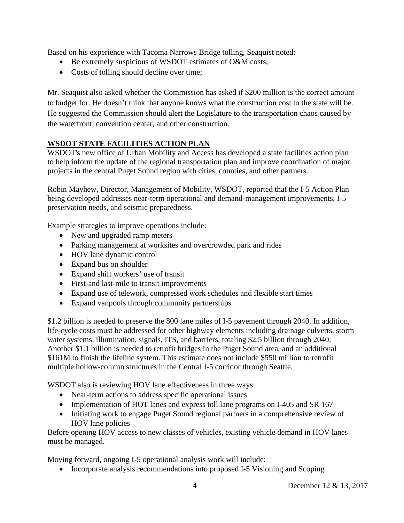Based on his experience with Tacoma Narrows Bridge tolling, Seaquist noted:

- Be extremely suspicious of WSDOT estimates of O&M costs;
- Costs of tolling should decline over time;

Mr. Seaquist also asked whether the Commission has asked if \$200 million is the correct amount to budget for. He doesn't think that anyone knows what the construction cost to the state will be. He suggested the Commission should alert the Legislature to the transportation chaos caused by the waterfront, convention center, and other construction.

# **WSDOT STATE FACILITIES ACTION PLAN**

WSDOT's new office of Urban Mobility and Access has developed a state facilities action plan to help inform the update of the regional transportation plan and improve coordination of major projects in the central Puget Sound region with cities, counties, and other partners.

Robin Mayhew, Director, Management of Mobility, WSDOT, reported that the I-5 Action Plan being developed addresses near-term operational and demand-management improvements, I-5 preservation needs, and seismic preparedness.

Example strategies to improve operations include:

- New and upgraded ramp meters
- Parking management at worksites and overcrowded park and rides
- HOV lane dynamic control
- Expand bus on shoulder
- Expand shift workers' use of transit
- First-and last-mile to transit improvements
- Expand use of telework, compressed work schedules and flexible start times
- Expand vanpools through community partnerships

\$1.2 billion is needed to preserve the 800 lane miles of I-5 pavement through 2040. In addition, life-cycle costs must be addressed for other highway elements including drainage culverts, storm water systems, illumination, signals, ITS, and barriers, totaling \$2.5 billion through 2040. Another \$1.1 billion is needed to retrofit bridges in the Puget Sound area, and an additional \$161M to finish the lifeline system. This estimate does not include \$550 million to retrofit multiple hollow-column structures in the Central I-5 corridor through Seattle.

WSDOT also is reviewing HOV lane effectiveness in three ways:

- Near-term actions to address specific operational issues
- Implementation of HOT lanes and express toll lane programs on I-405 and SR 167
- Initiating work to engage Puget Sound regional partners in a comprehensive review of HOV lane policies

Before opening HOV access to new classes of vehicles, existing vehicle demand in HOV lanes must be managed.

Moving forward, ongoing I-5 operational analysis work will include:

• Incorporate analysis recommendations into proposed I-5 Visioning and Scoping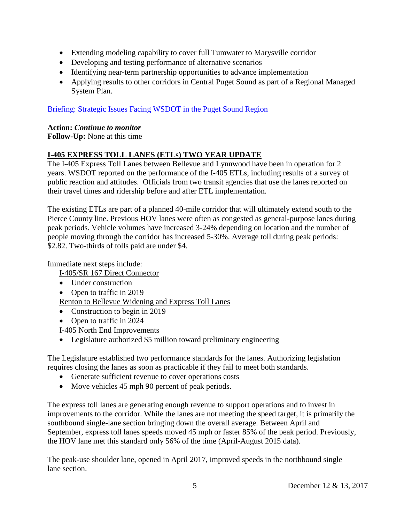- Extending modeling capability to cover full Tumwater to Marysville corridor
- Developing and testing performance of alternative scenarios
- Identifying near-term partnership opportunities to advance implementation
- Applying results to other corridors in Central Puget Sound as part of a Regional Managed System Plan.

## [Briefing: Strategic Issues Facing WSDOT in the Puget Sound Region](http://www.wstc.wa.gov/Meetings/AgendasMinutes/agendas/2017/December12/Documents/1212-BP4-StateFacilitiesActionPlan.pdf)

#### **Action:** *Continue to monitor*

**Follow-Up:** None at this time

## **I-405 EXPRESS TOLL LANES (ETLs) TWO YEAR UPDATE**

The I-405 Express Toll Lanes between Bellevue and Lynnwood have been in operation for 2 years. WSDOT reported on the performance of the I-405 ETLs, including results of a survey of public reaction and attitudes. Officials from two transit agencies that use the lanes reported on their travel times and ridership before and after ETL implementation.

The existing ETLs are part of a planned 40-mile corridor that will ultimately extend south to the Pierce County line. Previous HOV lanes were often as congested as general-purpose lanes during peak periods. Vehicle volumes have increased 3-24% depending on location and the number of people moving through the corridor has increased 5-30%. Average toll during peak periods: \$2.82. Two-thirds of tolls paid are under \$4.

Immediate next steps include:

I-405/SR 167 Direct Connector

- Under construction
- Open to traffic in 2019

Renton to Bellevue Widening and Express Toll Lanes

- Construction to begin in 2019
- Open to traffic in 2024

I-405 North End Improvements

• Legislature authorized \$5 million toward preliminary engineering

The Legislature established two performance standards for the lanes. Authorizing legislation requires closing the lanes as soon as practicable if they fail to meet both standards.

- Generate sufficient revenue to cover operations costs
- Move vehicles 45 mph 90 percent of peak periods.

The express toll lanes are generating enough revenue to support operations and to invest in improvements to the corridor. While the lanes are not meeting the speed target, it is primarily the southbound single-lane section bringing down the overall average. Between April and September, express toll lanes speeds moved 45 mph or faster 85% of the peak period. Previously, the HOV lane met this standard only 56% of the time (April-August 2015 data).

The peak-use shoulder lane, opened in April 2017, improved speeds in the northbound single lane section.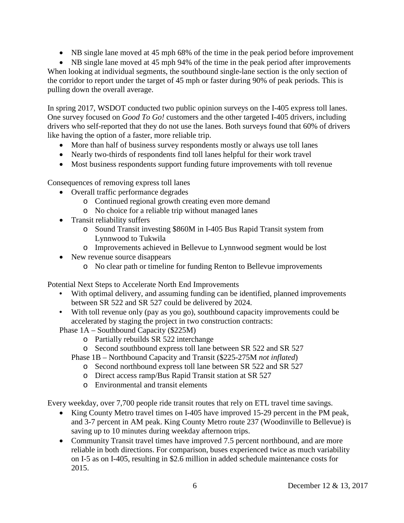• NB single lane moved at 45 mph 68% of the time in the peak period before improvement

• NB single lane moved at 45 mph 94% of the time in the peak period after improvements When looking at individual segments, the southbound single-lane section is the only section of the corridor to report under the target of 45 mph or faster during 90% of peak periods. This is pulling down the overall average.

In spring 2017, WSDOT conducted two public opinion surveys on the I-405 express toll lanes. One survey focused on *Good To Go!* customers and the other targeted I-405 drivers, including drivers who self-reported that they do not use the lanes. Both surveys found that 60% of drivers like having the option of a faster, more reliable trip.

- More than half of business survey respondents mostly or always use toll lanes
- Nearly two-thirds of respondents find toll lanes helpful for their work travel
- Most business respondents support funding future improvements with toll revenue

Consequences of removing express toll lanes

- Overall traffic performance degrades
	- o Continued regional growth creating even more demand
	- o No choice for a reliable trip without managed lanes
- Transit reliability suffers
	- o Sound Transit investing \$860M in I-405 Bus Rapid Transit system from Lynnwood to Tukwila
	- o Improvements achieved in Bellevue to Lynnwood segment would be lost
- New revenue source disappears
	- o No clear path or timeline for funding Renton to Bellevue improvements

Potential Next Steps to Accelerate North End Improvements

- With optimal delivery, and assuming funding can be identified, planned improvements between SR 522 and SR 527 could be delivered by 2024.
- With toll revenue only (pay as you go), southbound capacity improvements could be accelerated by staging the project in two construction contracts:

Phase 1A – Southbound Capacity (\$225M)

- o Partially rebuilds SR 522 interchange
- o Second southbound express toll lane between SR 522 and SR 527
- Phase 1B Northbound Capacity and Transit (\$225-275M *not inflated*)
	- o Second northbound express toll lane between SR 522 and SR 527
	- o Direct access ramp/Bus Rapid Transit station at SR 527
	- o Environmental and transit elements

Every weekday, over 7,700 people ride transit routes that rely on ETL travel time savings.

- King County Metro travel times on I-405 have improved 15-29 percent in the PM peak, and 3-7 percent in AM peak. King County Metro route 237 (Woodinville to Bellevue) is saving up to 10 minutes during weekday afternoon trips.
- Community Transit travel times have improved 7.5 percent northbound, and are more reliable in both directions. For comparison, buses experienced twice as much variability on I-5 as on I-405, resulting in \$2.6 million in added schedule maintenance costs for 2015.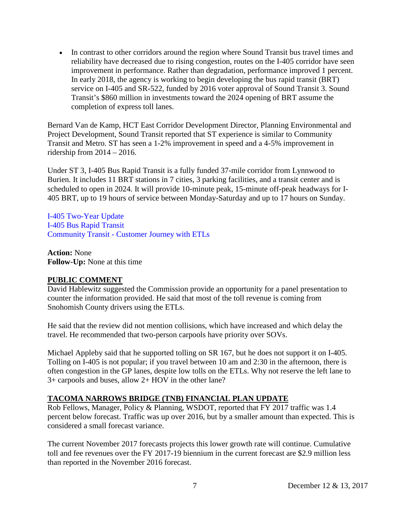• In contrast to other corridors around the region where Sound Transit bus travel times and reliability have decreased due to rising congestion, routes on the I-405 corridor have seen improvement in performance. Rather than degradation, performance improved 1 percent. In early 2018, the agency is working to begin developing the bus rapid transit (BRT) service on I-405 and SR-522, funded by 2016 voter approval of Sound Transit 3. Sound Transit's \$860 million in investments toward the 2024 opening of BRT assume the completion of express toll lanes.

Bernard Van de Kamp, HCT East Corridor Development Director, Planning Environmental and Project Development, Sound Transit reported that ST experience is similar to Community Transit and Metro. ST has seen a 1-2% improvement in speed and a 4-5% improvement in ridership from 2014 – 2016.

Under ST 3, I-405 Bus Rapid Transit is a fully funded 37-mile corridor from Lynnwood to Burien. It includes 11 BRT stations in 7 cities, 3 parking facilities, and a transit center and is scheduled to open in 2024. It will provide 10-minute peak, 15-minute off-peak headways for I-405 BRT, up to 19 hours of service between Monday-Saturday and up to 17 hours on Sunday.

[I-405 Two-Year Update](http://www.wstc.wa.gov/Meetings/AgendasMinutes/agendas/2017/December12/Documents/1212-BP5-I4052YearUpdate.pdf) [I-405 Bus Rapid Transit](http://www.wstc.wa.gov/documents/1212-BP5-I405BusRapidTransit.pdf) Community Transit - [Customer Journey with ETLs](http://www.wstc.wa.gov/Meetings/AgendasMinutes/agendas/2017/December12/Documents/1212-BP5-CommunityTransitCustomerJourney.pdf)

**Action:** None **Follow-Up:** None at this time

## **PUBLIC COMMENT**

David Hablewitz suggested the Commission provide an opportunity for a panel presentation to counter the information provided. He said that most of the toll revenue is coming from Snohomish County drivers using the ETLs.

He said that the review did not mention collisions, which have increased and which delay the travel. He recommended that two-person carpools have priority over SOVs.

Michael Appleby said that he supported tolling on SR 167, but he does not support it on I-405. Tolling on I-405 is not popular; if you travel between 10 am and 2:30 in the afternoon, there is often congestion in the GP lanes, despite low tolls on the ETLs. Why not reserve the left lane to 3+ carpools and buses, allow 2+ HOV in the other lane?

# **TACOMA NARROWS BRIDGE (TNB) FINANCIAL PLAN UPDATE**

Rob Fellows, Manager, Policy & Planning, WSDOT, reported that FY 2017 traffic was 1.4 percent below forecast. Traffic was up over 2016, but by a smaller amount than expected. This is considered a small forecast variance.

The current November 2017 forecasts projects this lower growth rate will continue. Cumulative toll and fee revenues over the FY 2017-19 biennium in the current forecast are \$2.9 million less than reported in the November 2016 forecast.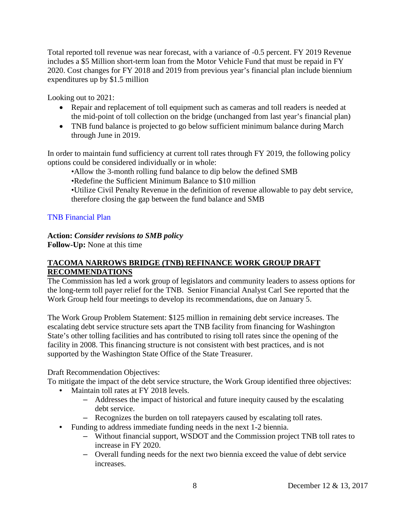Total reported toll revenue was near forecast, with a variance of -0.5 percent. FY 2019 Revenue includes a \$5 Million short-term loan from the Motor Vehicle Fund that must be repaid in FY 2020. Cost changes for FY 2018 and 2019 from previous year's financial plan include biennium expenditures up by \$1.5 million

Looking out to 2021:

- Repair and replacement of toll equipment such as cameras and toll readers is needed at the mid-point of toll collection on the bridge (unchanged from last year's financial plan)
- TNB fund balance is projected to go below sufficient minimum balance during March through June in 2019.

In order to maintain fund sufficiency at current toll rates through FY 2019, the following policy options could be considered individually or in whole:

•Allow the 3-month rolling fund balance to dip below the defined SMB

•Redefine the Sufficient Minimum Balance to \$10 million

•Utilize Civil Penalty Revenue in the definition of revenue allowable to pay debt service, therefore closing the gap between the fund balance and SMB

#### [TNB Financial Plan](http://www.wstc.wa.gov/Meetings/AgendasMinutes/agendas/2017/December12/Documents/1212-BP7-TNBFinancialPlan.pdf)

#### **Action:** *Consider revisions to SMB policy*

**Follow-Up:** None at this time

## **TACOMA NARROWS BRIDGE (TNB) REFINANCE WORK GROUP DRAFT RECOMMENDATIONS**

The Commission has led a work group of legislators and community leaders to assess options for the long-term toll payer relief for the TNB. Senior Financial Analyst Carl See reported that the Work Group held four meetings to develop its recommendations, due on January 5.

The Work Group Problem Statement: \$125 million in remaining debt service increases. The escalating debt service structure sets apart the TNB facility from financing for Washington State's other tolling facilities and has contributed to rising toll rates since the opening of the facility in 2008. This financing structure is not consistent with best practices, and is not supported by the Washington State Office of the State Treasurer.

Draft Recommendation Objectives:

To mitigate the impact of the debt service structure, the Work Group identified three objectives:

- Maintain toll rates at FY 2018 levels.
	- Addresses the impact of historical and future inequity caused by the escalating debt service.
	- Recognizes the burden on toll ratepayers caused by escalating toll rates.
- Funding to address immediate funding needs in the next 1-2 biennia.
	- Without financial support, WSDOT and the Commission project TNB toll rates to increase in FY 2020.
	- Overall funding needs for the next two biennia exceed the value of debt service increases.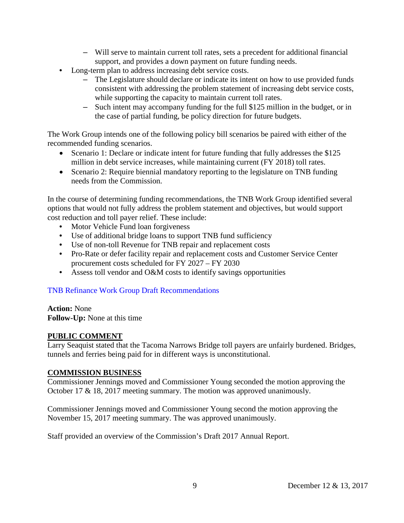- Will serve to maintain current toll rates, sets a precedent for additional financial support, and provides a down payment on future funding needs.
- Long-term plan to address increasing debt service costs.
	- The Legislature should declare or indicate its intent on how to use provided funds consistent with addressing the problem statement of increasing debt service costs, while supporting the capacity to maintain current toll rates.
	- Such intent may accompany funding for the full \$125 million in the budget, or in the case of partial funding, be policy direction for future budgets.

The Work Group intends one of the following policy bill scenarios be paired with either of the recommended funding scenarios.

- Scenario 1: Declare or indicate intent for future funding that fully addresses the \$125 million in debt service increases, while maintaining current (FY 2018) toll rates.
- Scenario 2: Require biennial mandatory reporting to the legislature on TNB funding needs from the Commission.

In the course of determining funding recommendations, the TNB Work Group identified several options that would not fully address the problem statement and objectives, but would support cost reduction and toll payer relief. These include:

- Motor Vehicle Fund loan forgiveness
- Use of additional bridge loans to support TNB fund sufficiency
- Use of non-toll Revenue for TNB repair and replacement costs
- Pro-Rate or defer facility repair and replacement costs and Customer Service Center procurement costs scheduled for FY 2027 – FY 2030
- Assess toll vendor and O&M costs to identify savings opportunities

## [TNB Refinance Work Group Draft Recommendations](http://www.wstc.wa.gov/Meetings/AgendasMinutes/agendas/2017/December12/Documents/1212-BP8-TNBFinanceWorkGroup.pdf)

**Action:** None **Follow-Up:** None at this time

#### **PUBLIC COMMENT**

Larry Seaquist stated that the Tacoma Narrows Bridge toll payers are unfairly burdened. Bridges, tunnels and ferries being paid for in different ways is unconstitutional.

#### **COMMISSION BUSINESS**

Commissioner Jennings moved and Commissioner Young seconded the motion approving the October 17 & 18, 2017 meeting summary. The motion was approved unanimously.

Commissioner Jennings moved and Commissioner Young second the motion approving the November 15, 2017 meeting summary. The was approved unanimously.

Staff provided an overview of the Commission's Draft 2017 Annual Report.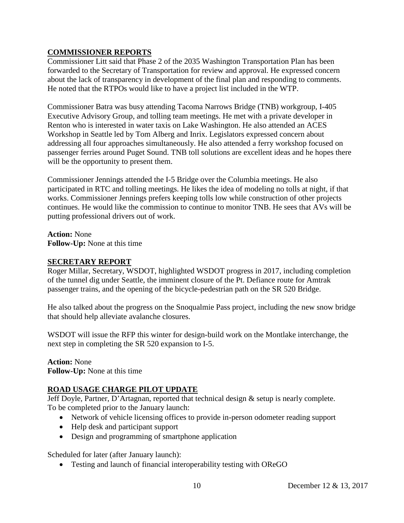## **COMMISSIONER REPORTS**

Commissioner Litt said that Phase 2 of the 2035 Washington Transportation Plan has been forwarded to the Secretary of Transportation for review and approval. He expressed concern about the lack of transparency in development of the final plan and responding to comments. He noted that the RTPOs would like to have a project list included in the WTP.

Commissioner Batra was busy attending Tacoma Narrows Bridge (TNB) workgroup, I-405 Executive Advisory Group, and tolling team meetings. He met with a private developer in Renton who is interested in water taxis on Lake Washington. He also attended an ACES Workshop in Seattle led by Tom Alberg and Inrix. Legislators expressed concern about addressing all four approaches simultaneously. He also attended a ferry workshop focused on passenger ferries around Puget Sound. TNB toll solutions are excellent ideas and he hopes there will be the opportunity to present them.

Commissioner Jennings attended the I-5 Bridge over the Columbia meetings. He also participated in RTC and tolling meetings. He likes the idea of modeling no tolls at night, if that works. Commissioner Jennings prefers keeping tolls low while construction of other projects continues. He would like the commission to continue to monitor TNB. He sees that AVs will be putting professional drivers out of work.

**Action:** None **Follow-Up:** None at this time

#### **SECRETARY REPORT**

Roger Millar, Secretary, WSDOT, highlighted WSDOT progress in 2017, including completion of the tunnel dig under Seattle, the imminent closure of the Pt. Defiance route for Amtrak passenger trains, and the opening of the bicycle-pedestrian path on the SR 520 Bridge.

He also talked about the progress on the Snoqualmie Pass project, including the new snow bridge that should help alleviate avalanche closures.

WSDOT will issue the RFP this winter for design-build work on the Montlake interchange, the next step in completing the SR 520 expansion to I-5.

**Action:** None **Follow-Up:** None at this time

## **ROAD USAGE CHARGE PILOT UPDATE**

Jeff Doyle, Partner, D'Artagnan, reported that technical design & setup is nearly complete. To be completed prior to the January launch:

- Network of vehicle licensing offices to provide in-person odometer reading support
- Help desk and participant support
- Design and programming of smartphone application

Scheduled for later (after January launch):

• Testing and launch of financial interoperability testing with OReGO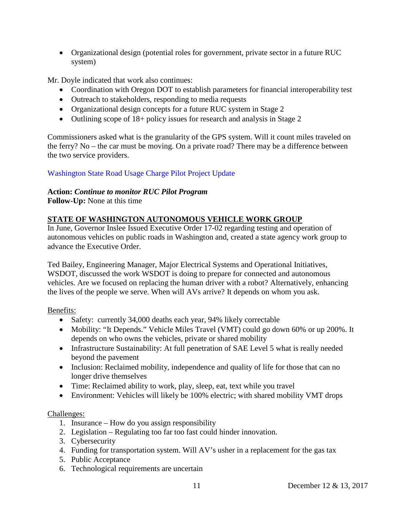• Organizational design (potential roles for government, private sector in a future RUC system)

Mr. Doyle indicated that work also continues:

- Coordination with Oregon DOT to establish parameters for financial interoperability test
- Outreach to stakeholders, responding to media requests
- Organizational design concepts for a future RUC system in Stage 2
- Outlining scope of 18+ policy issues for research and analysis in Stage 2

Commissioners asked what is the granularity of the GPS system. Will it count miles traveled on the ferry? No – the car must be moving. On a private road? There may be a difference between the two service providers.

[Washington State Road Usage Charge Pilot Project Update](http://www.wstc.wa.gov/Meetings/AgendasMinutes/agendas/2017/December13/Documents/2017-1213-BP12-WARUCPilotProjectUpdate.pdf)

# **Action:** *Continue to monitor RUC Pilot Program*

**Follow-Up:** None at this time

# **STATE OF WASHINGTON AUTONOMOUS VEHICLE WORK GROUP**

In June, Governor Inslee Issued Executive Order 17-02 regarding testing and operation of autonomous vehicles on public roads in Washington and, created a state agency work group to advance the Executive Order.

Ted Bailey, Engineering Manager, Major Electrical Systems and Operational Initiatives, WSDOT, discussed the work WSDOT is doing to prepare for connected and autonomous vehicles. Are we focused on replacing the human driver with a robot? Alternatively, enhancing the lives of the people we serve. When will AVs arrive? It depends on whom you ask.

Benefits:

- Safety: currently 34,000 deaths each year, 94% likely correctable
- Mobility: "It Depends." Vehicle Miles Travel (VMT) could go down 60% or up 200%. It depends on who owns the vehicles, private or shared mobility
- Infrastructure Sustainability: At full penetration of SAE Level 5 what is really needed beyond the pavement
- Inclusion: Reclaimed mobility, independence and quality of life for those that can no longer drive themselves
- Time: Reclaimed ability to work, play, sleep, eat, text while you travel
- Environment: Vehicles will likely be 100% electric; with shared mobility VMT drops

# Challenges:

- 1. Insurance How do you assign responsibility
- 2. Legislation Regulating too far too fast could hinder innovation.
- 3. Cybersecurity
- 4. Funding for transportation system. Will AV's usher in a replacement for the gas tax
- 5. Public Acceptance
- 6. Technological requirements are uncertain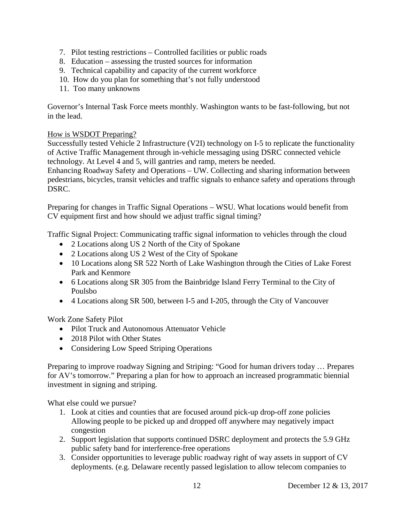- 7. Pilot testing restrictions Controlled facilities or public roads
- 8. Education assessing the trusted sources for information
- 9. Technical capability and capacity of the current workforce
- 10. How do you plan for something that's not fully understood
- 11. Too many unknowns

Governor's Internal Task Force meets monthly. Washington wants to be fast-following, but not in the lead.

#### How is WSDOT Preparing?

Successfully tested Vehicle 2 Infrastructure (V2I) technology on I-5 to replicate the functionality of Active Traffic Management through in-vehicle messaging using DSRC connected vehicle technology. At Level 4 and 5, will gantries and ramp, meters be needed.

Enhancing Roadway Safety and Operations – UW. Collecting and sharing information between pedestrians, bicycles, transit vehicles and traffic signals to enhance safety and operations through DSRC.

Preparing for changes in Traffic Signal Operations – WSU. What locations would benefit from CV equipment first and how should we adjust traffic signal timing?

Traffic Signal Project: Communicating traffic signal information to vehicles through the cloud

- 2 Locations along US 2 North of the City of Spokane
- 2 Locations along US 2 West of the City of Spokane
- 10 Locations along SR 522 North of Lake Washington through the Cities of Lake Forest Park and Kenmore
- 6 Locations along SR 305 from the Bainbridge Island Ferry Terminal to the City of Poulsbo
- 4 Locations along SR 500, between I-5 and I-205, through the City of Vancouver

Work Zone Safety Pilot

- Pilot Truck and Autonomous Attenuator Vehicle
- 2018 Pilot with Other States
- Considering Low Speed Striping Operations

Preparing to improve roadway Signing and Striping: "Good for human drivers today … Prepares for AV's tomorrow." Preparing a plan for how to approach an increased programmatic biennial investment in signing and striping.

What else could we pursue?

- 1. Look at cities and counties that are focused around pick-up drop-off zone policies Allowing people to be picked up and dropped off anywhere may negatively impact congestion
- 2. Support legislation that supports continued DSRC deployment and protects the 5.9 GHz public safety band for interference-free operations
- 3. Consider opportunities to leverage public roadway right of way assets in support of CV deployments. (e.g. Delaware recently passed legislation to allow telecom companies to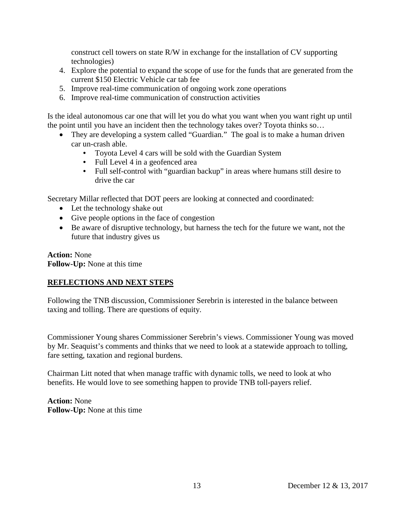construct cell towers on state R/W in exchange for the installation of CV supporting technologies)

- 4. Explore the potential to expand the scope of use for the funds that are generated from the current \$150 Electric Vehicle car tab fee
- 5. Improve real-time communication of ongoing work zone operations
- 6. Improve real-time communication of construction activities

Is the ideal autonomous car one that will let you do what you want when you want right up until the point until you have an incident then the technology takes over? Toyota thinks so…

- They are developing a system called "Guardian." The goal is to make a human driven car un-crash able.
	- Toyota Level 4 cars will be sold with the Guardian System
	- Full Level 4 in a geofenced area
	- Full self-control with "guardian backup" in areas where humans still desire to drive the car

Secretary Millar reflected that DOT peers are looking at connected and coordinated:

- Let the technology shake out
- Give people options in the face of congestion
- Be aware of disruptive technology, but harness the tech for the future we want, not the future that industry gives us

**Action:** None **Follow-Up:** None at this time

## **REFLECTIONS AND NEXT STEPS**

Following the TNB discussion, Commissioner Serebrin is interested in the balance between taxing and tolling. There are questions of equity.

Commissioner Young shares Commissioner Serebrin's views. Commissioner Young was moved by Mr. Seaquist's comments and thinks that we need to look at a statewide approach to tolling, fare setting, taxation and regional burdens.

Chairman Litt noted that when manage traffic with dynamic tolls, we need to look at who benefits. He would love to see something happen to provide TNB toll-payers relief.

**Action:** None **Follow-Up:** None at this time